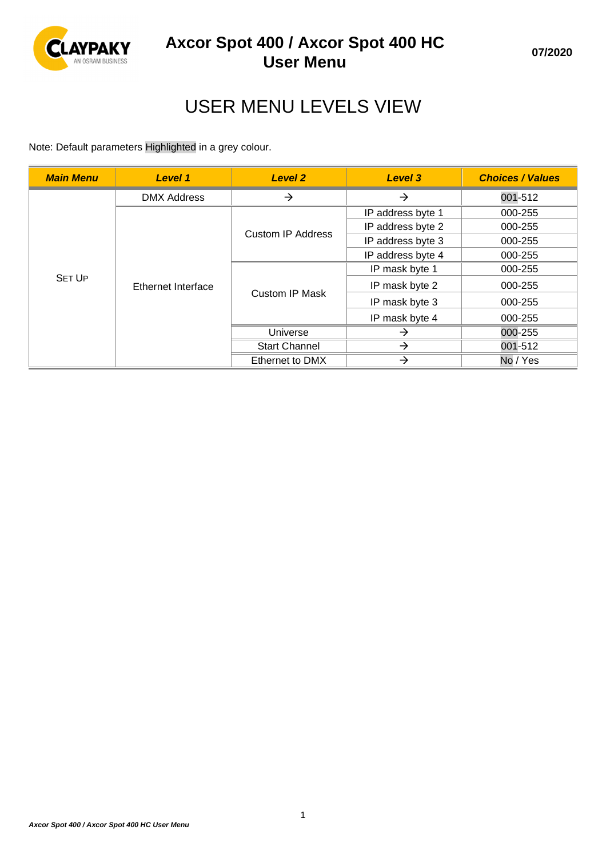

# USER MENU LEVELS VIEW

Note: Default parameters Highlighted in a grey colour.

| <b>Main Menu</b> | Level 1                   | Level 2               | Level 3           | <b>Choices / Values</b> |
|------------------|---------------------------|-----------------------|-------------------|-------------------------|
|                  | <b>DMX Address</b>        | $\rightarrow$         | →                 | 001-512                 |
| <b>SET UP</b>    | <b>Ethernet Interface</b> | Custom IP Address     | IP address byte 1 | 000-255                 |
|                  |                           |                       | IP address byte 2 | 000-255                 |
|                  |                           |                       | IP address byte 3 | 000-255                 |
|                  |                           |                       | IP address byte 4 | 000-255                 |
|                  |                           | <b>Custom IP Mask</b> | IP mask byte 1    | 000-255                 |
|                  |                           |                       | IP mask byte 2    | 000-255                 |
|                  |                           |                       | IP mask byte 3    | 000-255                 |
|                  |                           |                       | IP mask byte 4    | 000-255                 |
|                  |                           | Universe              | →                 | 000-255                 |
|                  |                           | <b>Start Channel</b>  | →                 | 001-512                 |
|                  |                           | Ethernet to DMX       | →                 | No / Yes                |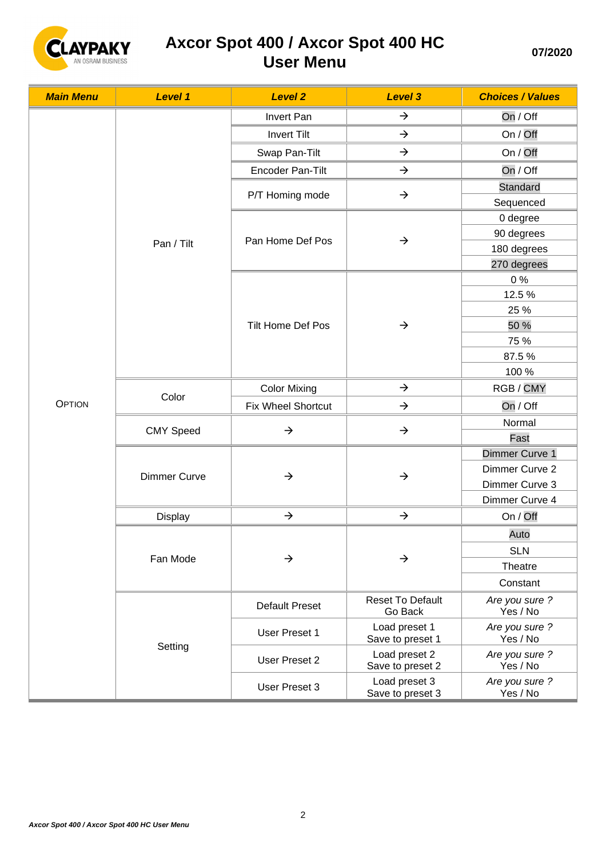

| <b>Main Menu</b> | <b>Level 1</b>      | <b>Level 2</b>        | <b>Level 3</b>                     | <b>Choices / Values</b>    |
|------------------|---------------------|-----------------------|------------------------------------|----------------------------|
|                  |                     | Invert Pan            | $\rightarrow$                      | On / Off                   |
|                  |                     | <b>Invert Tilt</b>    | $\rightarrow$                      | On / Off                   |
|                  |                     | Swap Pan-Tilt         | $\rightarrow$                      | On / Off                   |
|                  |                     | Encoder Pan-Tilt      | $\rightarrow$                      | On / Off                   |
|                  |                     | P/T Homing mode       | $\rightarrow$                      | Standard                   |
|                  |                     |                       |                                    | Sequenced                  |
|                  |                     | Pan Home Def Pos      | $\rightarrow$                      | 0 degree                   |
|                  | Pan / Tilt          |                       |                                    | 90 degrees                 |
|                  |                     |                       |                                    | 180 degrees                |
|                  |                     |                       |                                    | 270 degrees                |
|                  |                     |                       |                                    | 0%                         |
|                  |                     |                       |                                    | 12.5%                      |
|                  |                     |                       |                                    | 25 %                       |
|                  |                     | Tilt Home Def Pos     | $\rightarrow$                      | 50 %                       |
|                  |                     |                       |                                    | 75 %                       |
|                  |                     |                       |                                    | 87.5%                      |
|                  |                     |                       |                                    | 100 %                      |
|                  | Color               | <b>Color Mixing</b>   | $\rightarrow$                      | RGB/CMY                    |
| <b>OPTION</b>    |                     | Fix Wheel Shortcut    | $\rightarrow$                      | On / Off                   |
|                  | <b>CMY Speed</b>    | $\rightarrow$         | $\rightarrow$                      | Normal                     |
|                  |                     |                       |                                    | Fast                       |
|                  | <b>Dimmer Curve</b> |                       | $\rightarrow$                      | Dimmer Curve 1             |
|                  |                     | $\rightarrow$         |                                    | Dimmer Curve 2             |
|                  |                     |                       |                                    | Dimmer Curve 3             |
|                  |                     |                       |                                    | Dimmer Curve 4             |
|                  | Display             | $\rightarrow$         | $\rightarrow$                      | On / Off                   |
|                  | Fan Mode            | $\rightarrow$         | $\rightarrow$                      | Auto                       |
|                  |                     |                       |                                    | <b>SLN</b>                 |
|                  |                     |                       |                                    | Theatre                    |
|                  |                     |                       |                                    | Constant                   |
|                  |                     | <b>Default Preset</b> | <b>Reset To Default</b><br>Go Back | Are you sure ?<br>Yes / No |
|                  | Setting             | <b>User Preset 1</b>  | Load preset 1<br>Save to preset 1  | Are you sure ?<br>Yes / No |
|                  |                     | User Preset 2         | Load preset 2<br>Save to preset 2  | Are you sure ?<br>Yes / No |
|                  |                     | User Preset 3         | Load preset 3<br>Save to preset 3  | Are you sure ?<br>Yes / No |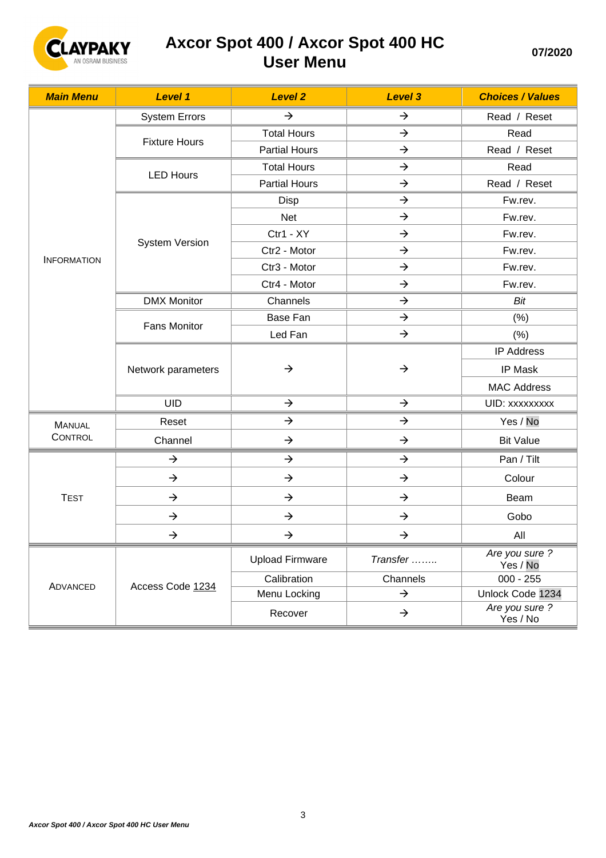

| <b>Main Menu</b>   | Level 1               | <b>Level 2</b>         | <b>Level 3</b> | <b>Choices / Values</b>    |
|--------------------|-----------------------|------------------------|----------------|----------------------------|
|                    | <b>System Errors</b>  | $\rightarrow$          | $\rightarrow$  | Read / Reset               |
|                    | <b>Fixture Hours</b>  | <b>Total Hours</b>     | $\rightarrow$  | Read                       |
|                    |                       | <b>Partial Hours</b>   | $\rightarrow$  | Read / Reset               |
|                    | <b>LED Hours</b>      | <b>Total Hours</b>     | $\rightarrow$  | Read                       |
|                    |                       | <b>Partial Hours</b>   | $\rightarrow$  | Read / Reset               |
|                    |                       | Disp                   | $\rightarrow$  | Fw.rev.                    |
|                    |                       | Net                    | $\rightarrow$  | Fw.rev.                    |
|                    | <b>System Version</b> | Ctr1 - XY              | $\rightarrow$  | Fw.rev.                    |
| <b>INFORMATION</b> |                       | Ctr2 - Motor           | $\rightarrow$  | Fw.rev.                    |
|                    |                       | Ctr3 - Motor           | $\rightarrow$  | Fw.rev.                    |
|                    |                       | Ctr4 - Motor           | $\rightarrow$  | Fw.rev.                    |
|                    | <b>DMX Monitor</b>    | Channels               | $\rightarrow$  | Bit                        |
|                    | <b>Fans Monitor</b>   | Base Fan               | $\rightarrow$  | (% )                       |
|                    |                       | Led Fan                | $\rightarrow$  | (% )                       |
|                    | Network parameters    | $\rightarrow$          | $\rightarrow$  | <b>IP Address</b>          |
|                    |                       |                        |                | IP Mask                    |
|                    |                       |                        |                | <b>MAC Address</b>         |
|                    | <b>UID</b>            | $\rightarrow$          | $\rightarrow$  | UID: xxxxxxxx              |
| <b>MANUAL</b>      | Reset                 | $\rightarrow$          | $\rightarrow$  | Yes / No                   |
| CONTROL            | Channel               | $\rightarrow$          | $\rightarrow$  | <b>Bit Value</b>           |
|                    | $\rightarrow$         | $\rightarrow$          | $\rightarrow$  | Pan / Tilt                 |
|                    | $\rightarrow$         | $\rightarrow$          | $\rightarrow$  | Colour                     |
| <b>TEST</b>        | $\rightarrow$         | $\rightarrow$          | $\rightarrow$  | Beam                       |
|                    | $\rightarrow$         | $\rightarrow$          | $\rightarrow$  | Gobo                       |
|                    | $\rightarrow$         | $\rightarrow$          | $\rightarrow$  | All                        |
|                    | Access Code 1234      | <b>Upload Firmware</b> | Transfer       | Are you sure ?<br>Yes / No |
| ADVANCED           |                       | Calibration            | Channels       | $000 - 255$                |
|                    |                       | Menu Locking           | $\rightarrow$  | Unlock Code 1234           |
|                    |                       | Recover                | $\rightarrow$  | Are you sure ?<br>Yes / No |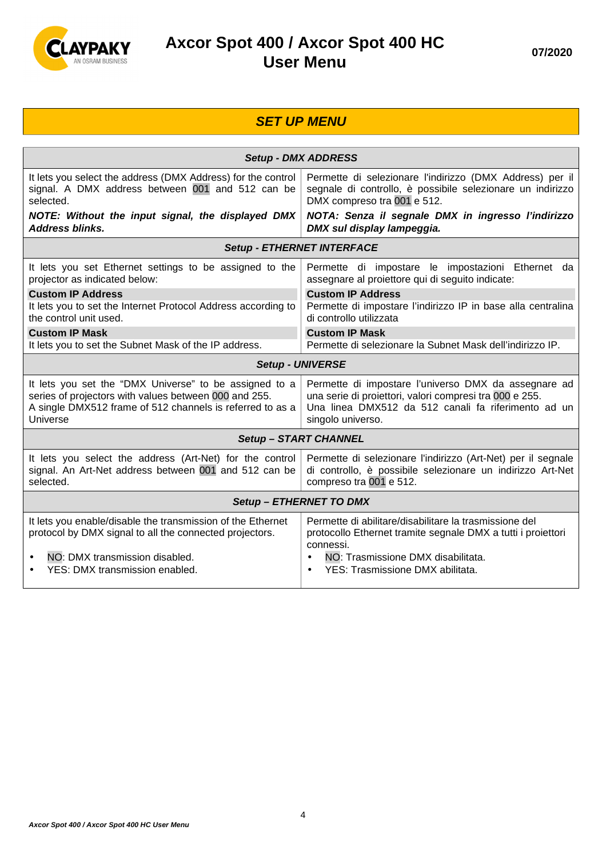

#### **SET UP MENU Setup - DMX ADDRESS**  It lets you select the address (DMX Address) for the control signal. A DMX address between 001 and 512 can be selected. **NOTE: Without the input signal, the displayed DMX Address blinks.**  Permette di selezionare l'indirizzo (DMX Address) per il segnale di controllo, è possibile selezionare un indirizzo DMX compreso tra 001 e 512. **NOTA: Senza il segnale DMX in ingresso l'indirizzo DMX sul display lampeggia. Setup - ETHERNET INTERFACE**  It lets you set Ethernet settings to be assigned to the projector as indicated below: **Custom IP Address**  It lets you to set the Internet Protocol Address according to the control unit used. **Custom IP Mask**  It lets you to set the Subnet Mask of the IP address. Permette di impostare le impostazioni Ethernet da assegnare al proiettore qui di seguito indicate: **Custom IP Address**  Permette di impostare l'indirizzo IP in base alla centralina di controllo utilizzata **Custom IP Mask**  Permette di selezionare la Subnet Mask dell'indirizzo IP. **Setup - UNIVERSE**  It lets you set the "DMX Universe" to be assigned to a series of projectors with values between 000 and 255. A single DMX512 frame of 512 channels is referred to as a Universe Permette di impostare l'universo DMX da assegnare ad una serie di proiettori, valori compresi tra 000 e 255. Una linea DMX512 da 512 canali fa riferimento ad un singolo universo. **Setup – START CHANNEL**  It lets you select the address (Art-Net) for the control signal. An Art-Net address between 001 and 512 can be selected. Permette di selezionare l'indirizzo (Art-Net) per il segnale di controllo, è possibile selezionare un indirizzo Art-Net compreso tra 001 e 512. **Setup – ETHERNET TO DMX**  It lets you enable/disable the transmission of the Ethernet protocol by DMX signal to all the connected projectors. • NO: DMX transmission disabled. • YES: DMX transmission enabled. Permette di abilitare/disabilitare la trasmissione del protocollo Ethernet tramite segnale DMX a tutti i proiettori connessi. • NO: Trasmissione DMX disabilitata. • YES: Trasmissione DMX abilitata.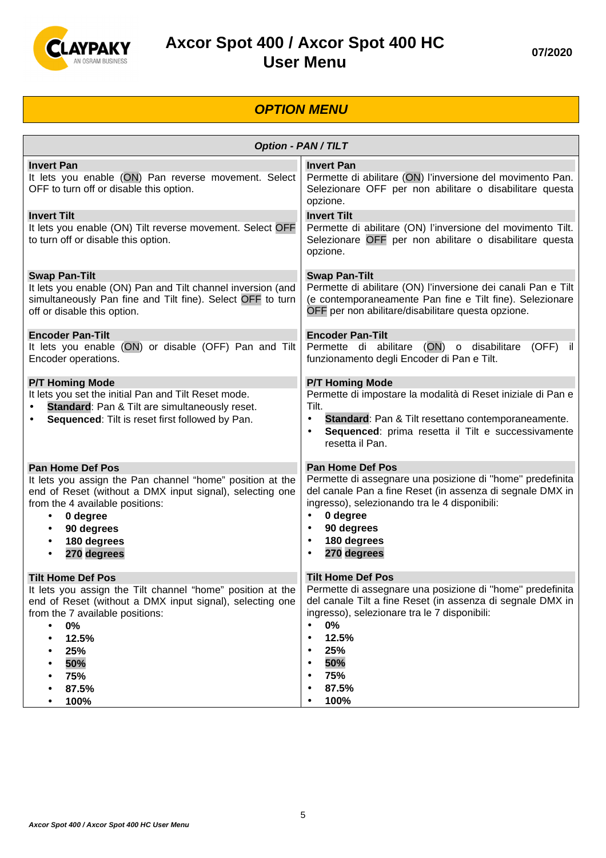

#### **OPTION MENU**

| <b>Option - PAN / TILT</b>                                                                                                                                                                                                                                                                      |                                                                                                                                                                                                                                                                                                                   |  |
|-------------------------------------------------------------------------------------------------------------------------------------------------------------------------------------------------------------------------------------------------------------------------------------------------|-------------------------------------------------------------------------------------------------------------------------------------------------------------------------------------------------------------------------------------------------------------------------------------------------------------------|--|
| <b>Invert Pan</b><br>It lets you enable (ON) Pan reverse movement. Select<br>OFF to turn off or disable this option.                                                                                                                                                                            | <b>Invert Pan</b><br>Permette di abilitare (ON) l'inversione del movimento Pan.<br>Selezionare OFF per non abilitare o disabilitare questa<br>opzione.                                                                                                                                                            |  |
| <b>Invert Tilt</b><br>It lets you enable (ON) Tilt reverse movement. Select OFF<br>to turn off or disable this option.                                                                                                                                                                          | <b>Invert Tilt</b><br>Permette di abilitare (ON) l'inversione del movimento Tilt.<br>Selezionare OFF per non abilitare o disabilitare questa<br>opzione.                                                                                                                                                          |  |
| <b>Swap Pan-Tilt</b><br>It lets you enable (ON) Pan and Tilt channel inversion (and<br>simultaneously Pan fine and Tilt fine). Select OFF to turn<br>off or disable this option.                                                                                                                | <b>Swap Pan-Tilt</b><br>Permette di abilitare (ON) l'inversione dei canali Pan e Tilt<br>(e contemporaneamente Pan fine e Tilt fine). Selezionare<br>OFF per non abilitare/disabilitare questa opzione.                                                                                                           |  |
| <b>Encoder Pan-Tilt</b><br>It lets you enable (ON) or disable (OFF) Pan and Tilt<br>Encoder operations.                                                                                                                                                                                         | <b>Encoder Pan-Tilt</b><br>Permette di abilitare (ON) o disabilitare<br>$(OFF)$ il<br>funzionamento degli Encoder di Pan e Tilt.                                                                                                                                                                                  |  |
| <b>P/T Homing Mode</b><br>It lets you set the initial Pan and Tilt Reset mode.<br>Standard: Pan & Tilt are simultaneously reset.<br>Sequenced: Tilt is reset first followed by Pan.                                                                                                             | <b>P/T Homing Mode</b><br>Permette di impostare la modalità di Reset iniziale di Pan e<br>Tilt.<br>Standard: Pan & Tilt resettano contemporaneamente.<br>$\bullet$<br>Sequenced: prima resetta il Tilt e successivamente<br>$\bullet$<br>resetta il Pan.                                                          |  |
| <b>Pan Home Def Pos</b><br>It lets you assign the Pan channel "home" position at the<br>end of Reset (without a DMX input signal), selecting one<br>from the 4 available positions:<br>0 degree<br>$\bullet$<br>90 degrees<br>$\bullet$<br>180 degrees<br>$\bullet$<br>270 degrees<br>$\bullet$ | <b>Pan Home Def Pos</b><br>Permette di assegnare una posizione di "home" predefinita<br>del canale Pan a fine Reset (in assenza di segnale DMX in<br>ingresso), selezionando tra le 4 disponibili:<br>0 degree<br>$\bullet$<br>90 degrees<br>$\bullet$<br>180 degrees<br>$\bullet$<br>270 degrees<br>$\bullet$    |  |
| <b>Tilt Home Def Pos</b><br>It lets you assign the Tilt channel "home" position at the<br>end of Reset (without a DMX input signal), selecting one<br>from the 7 available positions:<br>0%<br>$\bullet$<br>12.5%<br>25%<br>50%<br>75%<br>87.5%<br>100%                                         | <b>Tilt Home Def Pos</b><br>Permette di assegnare una posizione di "home" predefinita<br>del canale Tilt a fine Reset (in assenza di segnale DMX in<br>ingresso), selezionare tra le 7 disponibili:<br>0%<br>$\bullet$<br>12.5%<br>$\bullet$<br>25%<br>$\bullet$<br>50%<br>$\bullet$<br>75%<br>٠<br>87.5%<br>100% |  |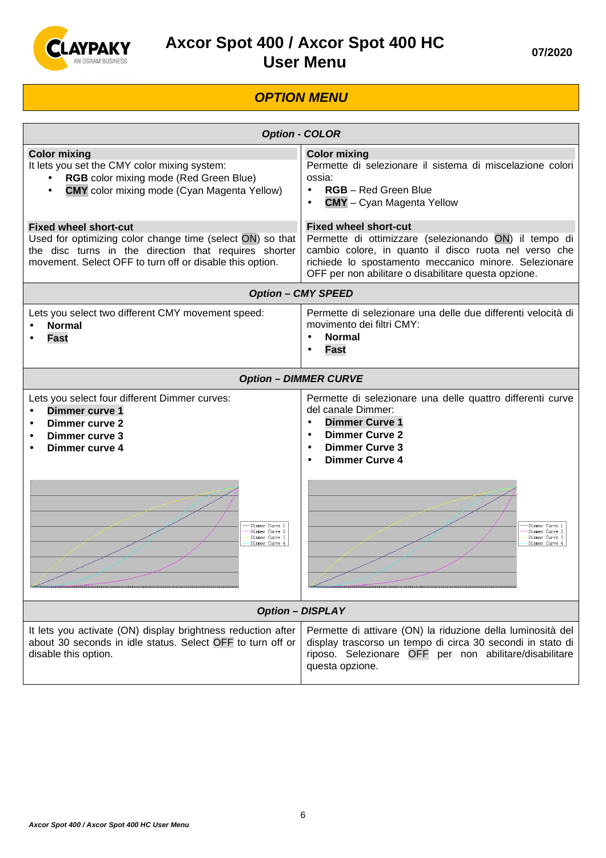

#### **OPTION MENU**

| <b>Option - COLOR</b>                                                                                                                                                                                          |                                                                                                                                                                                                                                                                                                   |  |
|----------------------------------------------------------------------------------------------------------------------------------------------------------------------------------------------------------------|---------------------------------------------------------------------------------------------------------------------------------------------------------------------------------------------------------------------------------------------------------------------------------------------------|--|
| <b>Color mixing</b><br>It lets you set the CMY color mixing system:<br>RGB color mixing mode (Red Green Blue)<br><b>CMY</b> color mixing mode (Cyan Magenta Yellow)                                            | <b>Color mixing</b><br>Permette di selezionare il sistema di miscelazione colori<br>ossia:<br><b>RGB</b> – Red Green Blue<br>$\bullet$<br><b>CMY</b> - Cyan Magenta Yellow                                                                                                                        |  |
| <b>Fixed wheel short-cut</b><br>Used for optimizing color change time (select ON) so that<br>the disc turns in the direction that requires shorter<br>movement. Select OFF to turn off or disable this option. | <b>Fixed wheel short-cut</b><br>Permette di ottimizzare (selezionando ON) il tempo di<br>cambio colore, in quanto il disco ruota nel verso che<br>richiede lo spostamento meccanico minore. Selezionare<br>OFF per non abilitare o disabilitare questa opzione.                                   |  |
|                                                                                                                                                                                                                | <b>Option - CMY SPEED</b>                                                                                                                                                                                                                                                                         |  |
| Lets you select two different CMY movement speed:<br><b>Normal</b><br><b>Fast</b>                                                                                                                              | Permette di selezionare una delle due differenti velocità di<br>movimento dei filtri CMY:<br><b>Normal</b><br><b>Fast</b>                                                                                                                                                                         |  |
|                                                                                                                                                                                                                | <b>Option - DIMMER CURVE</b>                                                                                                                                                                                                                                                                      |  |
| Lets you select four different Dimmer curves:<br>Dimmer curve 1<br><b>Dimmer curve 2</b><br>Dimmer curve 3<br>Dimmer curve 4<br>Dimmer Curve 1<br>Dimmer Curve 2<br>Dimmer Curve 3<br>Dimmer Curve 4           | Permette di selezionare una delle quattro differenti curve<br>del canale Dimmer:<br><b>Dimmer Curve 1</b><br>$\bullet$<br><b>Dimmer Curve 2</b><br>$\bullet$<br><b>Dimmer Curve 3</b><br>$\bullet$<br><b>Dimmer Curve 4</b><br>Dimmer Curve<br>Dimmer Curve 2<br>Dimmer Curve 3<br>Dimmer Curve 4 |  |
| <b>Option - DISPLAY</b>                                                                                                                                                                                        |                                                                                                                                                                                                                                                                                                   |  |
| It lets you activate (ON) display brightness reduction after<br>about 30 seconds in idle status. Select OFF to turn off or<br>disable this option.                                                             | Permette di attivare (ON) la riduzione della luminosità del<br>display trascorso un tempo di circa 30 secondi in stato di<br>riposo. Selezionare OFF per non abilitare/disabilitare<br>questa opzione.                                                                                            |  |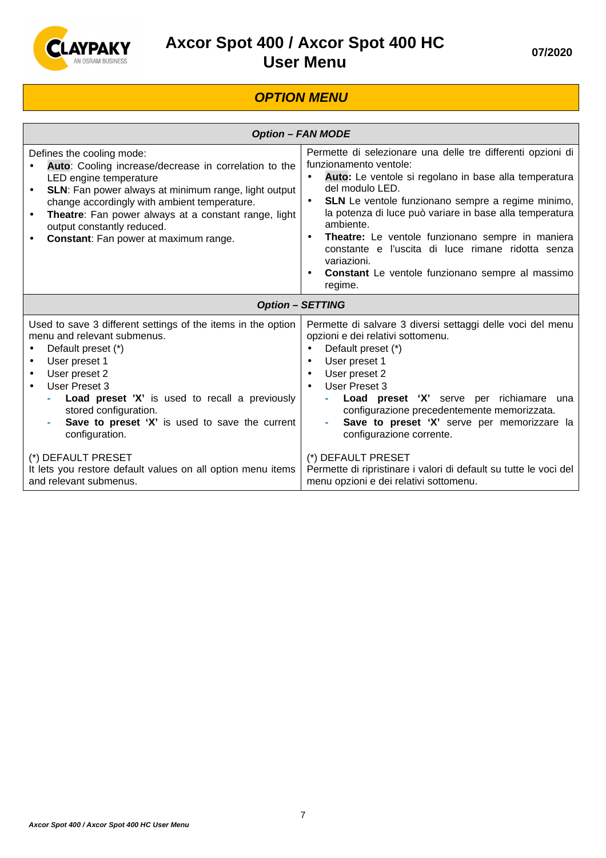

#### **OPTION MENU**

| <b>Option - FAN MODE</b>                                                                                                                                                                                                                                                                                                                                         |                                                                                                                                                                                                                                                                                                                                                                                                                                                                                                                                                  |  |
|------------------------------------------------------------------------------------------------------------------------------------------------------------------------------------------------------------------------------------------------------------------------------------------------------------------------------------------------------------------|--------------------------------------------------------------------------------------------------------------------------------------------------------------------------------------------------------------------------------------------------------------------------------------------------------------------------------------------------------------------------------------------------------------------------------------------------------------------------------------------------------------------------------------------------|--|
| Defines the cooling mode:<br>Auto: Cooling increase/decrease in correlation to the<br>LED engine temperature<br>SLN: Fan power always at minimum range, light output<br>$\bullet$<br>change accordingly with ambient temperature.<br>Theatre: Fan power always at a constant range, light<br>output constantly reduced.<br>Constant: Fan power at maximum range. | Permette di selezionare una delle tre differenti opzioni di<br>funzionamento ventole:<br>Auto: Le ventole si regolano in base alla temperatura<br>$\bullet$<br>del modulo LED.<br><b>SLN</b> Le ventole funzionano sempre a regime minimo,<br>$\bullet$<br>la potenza di luce può variare in base alla temperatura<br>ambiente.<br>Theatre: Le ventole funzionano sempre in maniera<br>$\bullet$<br>constante e l'uscita di luce rimane ridotta senza<br>variazioni.<br>Constant Le ventole funzionano sempre al massimo<br>$\bullet$<br>regime. |  |
|                                                                                                                                                                                                                                                                                                                                                                  | <b>Option - SETTING</b>                                                                                                                                                                                                                                                                                                                                                                                                                                                                                                                          |  |
| Used to save 3 different settings of the items in the option<br>menu and relevant submenus.<br>Default preset (*)<br>User preset 1<br>User preset 2<br>User Preset 3<br>Load preset 'X' is used to recall a previously<br>stored configuration.<br>Save to preset 'X' is used to save the current<br>configuration.                                              | Permette di salvare 3 diversi settaggi delle voci del menu<br>opzioni e dei relativi sottomenu.<br>Default preset (*)<br>User preset 1<br>$\bullet$<br>User preset 2<br>$\bullet$<br>User Preset 3<br>Load preset 'X' serve per richiamare<br>una<br>configurazione precedentemente memorizzata.<br>Save to preset 'X' serve per memorizzare la<br>configurazione corrente.                                                                                                                                                                      |  |
| (*) DEFAULT PRESET<br>It lets you restore default values on all option menu items<br>and relevant submenus.                                                                                                                                                                                                                                                      | (*) DEFAULT PRESET<br>Permette di ripristinare i valori di default su tutte le voci del<br>menu opzioni e dei relativi sottomenu.                                                                                                                                                                                                                                                                                                                                                                                                                |  |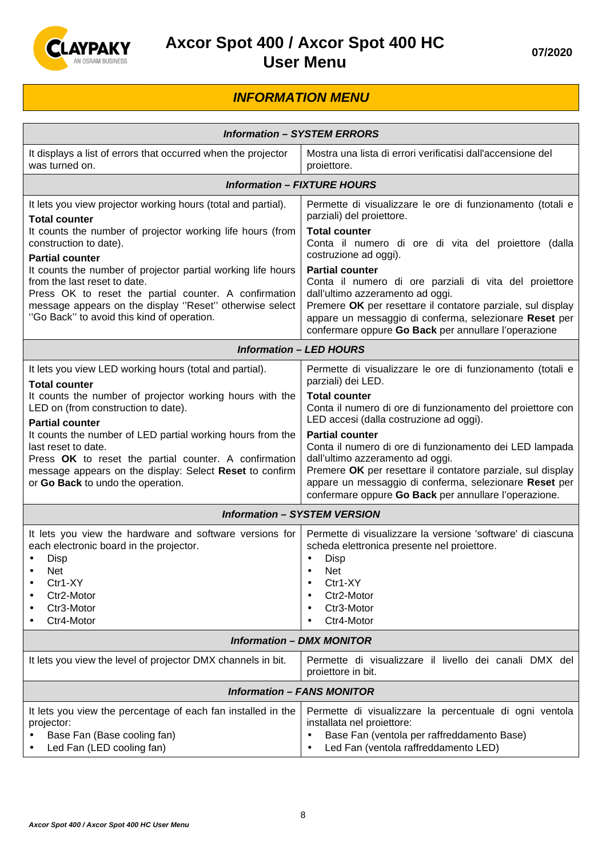

#### **INFORMATION MENU**

| <b>Information - SYSTEM ERRORS</b>                                                                                                                                                                                                                             |                                                                                                                                                                                                                                                                                                         |  |
|----------------------------------------------------------------------------------------------------------------------------------------------------------------------------------------------------------------------------------------------------------------|---------------------------------------------------------------------------------------------------------------------------------------------------------------------------------------------------------------------------------------------------------------------------------------------------------|--|
| It displays a list of errors that occurred when the projector<br>was turned on.                                                                                                                                                                                | Mostra una lista di errori verificatisi dall'accensione del<br>proiettore.                                                                                                                                                                                                                              |  |
| <b>Information - FIXTURE HOURS</b>                                                                                                                                                                                                                             |                                                                                                                                                                                                                                                                                                         |  |
| It lets you view projector working hours (total and partial).<br><b>Total counter</b><br>It counts the number of projector working life hours (from                                                                                                            | Permette di visualizzare le ore di funzionamento (totali e<br>parziali) del proiettore.<br><b>Total counter</b>                                                                                                                                                                                         |  |
| construction to date).<br><b>Partial counter</b>                                                                                                                                                                                                               | Conta il numero di ore di vita del proiettore (dalla<br>costruzione ad oggi).                                                                                                                                                                                                                           |  |
| It counts the number of projector partial working life hours<br>from the last reset to date.<br>Press OK to reset the partial counter. A confirmation<br>message appears on the display "Reset" otherwise select<br>"Go Back" to avoid this kind of operation. | <b>Partial counter</b><br>Conta il numero di ore parziali di vita del proiettore<br>dall'ultimo azzeramento ad oggi.<br>Premere OK per resettare il contatore parziale, sul display<br>appare un messaggio di conferma, selezionare Reset per<br>confermare oppure Go Back per annullare l'operazione   |  |
|                                                                                                                                                                                                                                                                | <b>Information - LED HOURS</b>                                                                                                                                                                                                                                                                          |  |
| It lets you view LED working hours (total and partial).<br><b>Total counter</b>                                                                                                                                                                                | Permette di visualizzare le ore di funzionamento (totali e<br>parziali) dei LED.                                                                                                                                                                                                                        |  |
| It counts the number of projector working hours with the<br>LED on (from construction to date).<br><b>Partial counter</b>                                                                                                                                      | <b>Total counter</b><br>Conta il numero di ore di funzionamento del proiettore con<br>LED accesi (dalla costruzione ad oggi).                                                                                                                                                                           |  |
| It counts the number of LED partial working hours from the<br>last reset to date.<br>Press OK to reset the partial counter. A confirmation<br>message appears on the display: Select Reset to confirm<br>or Go Back to undo the operation.                     | <b>Partial counter</b><br>Conta il numero di ore di funzionamento dei LED lampada<br>dall'ultimo azzeramento ad oggi.<br>Premere OK per resettare il contatore parziale, sul display<br>appare un messaggio di conferma, selezionare Reset per<br>confermare oppure Go Back per annullare l'operazione. |  |
|                                                                                                                                                                                                                                                                | <b>Information - SYSTEM VERSION</b>                                                                                                                                                                                                                                                                     |  |
| It lets you view the hardware and software versions for<br>each electronic board in the projector.<br>Disp<br><b>Net</b><br>Ctr1-XY<br>$\bullet$<br>Ctr2-Motor<br>Ctr3-Motor<br>Ctr4-Motor                                                                     | Permette di visualizzare la versione 'software' di ciascuna<br>scheda elettronica presente nel proiettore.<br>Disp<br>$\bullet$<br><b>Net</b><br>$\bullet$<br>Ctr1-XY<br>$\bullet$<br>Ctr2-Motor<br>Ctr3-Motor<br>Ctr4-Motor                                                                            |  |
| <b>Information - DMX MONITOR</b>                                                                                                                                                                                                                               |                                                                                                                                                                                                                                                                                                         |  |
| It lets you view the level of projector DMX channels in bit.                                                                                                                                                                                                   | Permette di visualizzare il livello dei canali DMX del<br>proiettore in bit.                                                                                                                                                                                                                            |  |
|                                                                                                                                                                                                                                                                | <b>Information - FANS MONITOR</b>                                                                                                                                                                                                                                                                       |  |
| It lets you view the percentage of each fan installed in the<br>projector:<br>Base Fan (Base cooling fan)<br>Led Fan (LED cooling fan)                                                                                                                         | Permette di visualizzare la percentuale di ogni ventola<br>installata nel proiettore:<br>Base Fan (ventola per raffreddamento Base)<br>$\bullet$<br>Led Fan (ventola raffreddamento LED)<br>$\bullet$                                                                                                   |  |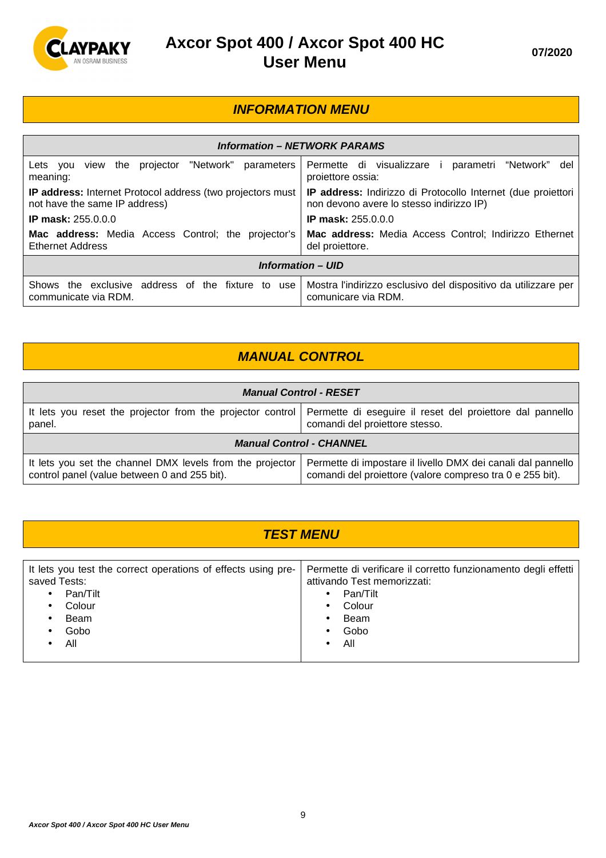

#### **INFORMATION MENU**

| <b>Information – NETWORK PARAMS</b>                                                                |                                                                                                          |  |  |
|----------------------------------------------------------------------------------------------------|----------------------------------------------------------------------------------------------------------|--|--|
| "Network"<br>parameters<br>the projector<br>Lets you<br>view<br>meaning:                           | Permette di visualizzare i<br>parametri<br>"Network"<br>del<br>proiettore ossia:                         |  |  |
| <b>IP address:</b> Internet Protocol address (two projectors must<br>not have the same IP address) | IP address: Indirizzo di Protocollo Internet (due projettori<br>non devono avere lo stesso indirizzo IP) |  |  |
| <b>IP mask: 255.0.0.0</b>                                                                          | <b>IP mask: 255.0.0.0</b>                                                                                |  |  |
| <b>Mac address:</b> Media Access Control; the projector's<br><b>Ethernet Address</b>               | Mac address: Media Access Control; Indirizzo Ethernet<br>del proiettore.                                 |  |  |
| <b>Information – UID</b>                                                                           |                                                                                                          |  |  |
| address of the fixture to use<br>Shows the exclusive<br>communicate via RDM.                       | Mostra l'indirizzo esclusivo del dispositivo da utilizzare per<br>comunicare via RDM.                    |  |  |

### **MANUAL CONTROL**

| <b>Manual Control - RESET</b>                                                                             |                                                                                                                                                            |  |
|-----------------------------------------------------------------------------------------------------------|------------------------------------------------------------------------------------------------------------------------------------------------------------|--|
| panel.                                                                                                    | It lets you reset the projector from the projector control   Permette di eseguire il reset del proiettore dal pannello  <br>comandi del proiettore stesso. |  |
| <b>Manual Control - CHANNEL</b>                                                                           |                                                                                                                                                            |  |
| It lets you set the channel DMX levels from the projector<br>control panel (value between 0 and 255 bit). | Permette di impostare il livello DMX dei canali dal pannello<br>comandi del proiettore (valore compreso tra 0 e 255 bit).                                  |  |

| <b>TEST MENU</b>                                                                                                                                                               |                                                                                                                                                           |  |
|--------------------------------------------------------------------------------------------------------------------------------------------------------------------------------|-----------------------------------------------------------------------------------------------------------------------------------------------------------|--|
|                                                                                                                                                                                |                                                                                                                                                           |  |
| It lets you test the correct operations of effects using pre-<br>saved Tests:<br>Pan/Tilt<br>$\bullet$<br>Colour<br>$\bullet$<br>Beam<br>$\bullet$<br>Gobo<br>$\bullet$<br>All | Permette di verificare il corretto funzionamento degli effetti  <br>attivando Test memorizzati:<br>Pan/Tilt<br>$\bullet$<br>Colour<br>Beam<br>Gobo<br>All |  |